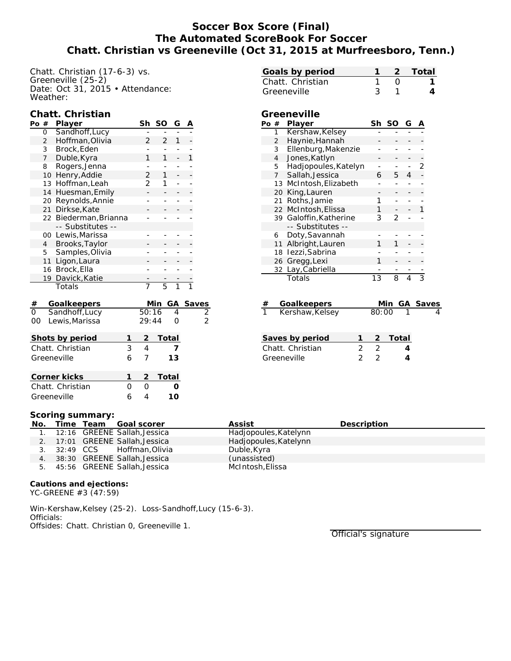# **Soccer Box Score (Final) The Automated ScoreBook For Soccer Chatt. Christian vs Greeneville (Oct 31, 2015 at Murfreesboro, Tenn.)**

Chatt. Christian (17-6-3) vs. Greeneville (25-2) Date: Oct 31, 2015 • Attendance: Weather:

|                                          |                      | Chatt. Christian   |                |                     |                |                |   |                          |
|------------------------------------------|----------------------|--------------------|----------------|---------------------|----------------|----------------|---|--------------------------|
| Po $#$                                   |                      | Player             |                | Sh                  | SO             | G              | Α |                          |
|                                          | 0                    | Sandhoff, Lucy     |                |                     |                |                |   |                          |
|                                          | $\overline{2}$       | Hoffman, Olivia    |                | $\overline{2}$      | $\overline{2}$ | 1              |   |                          |
|                                          | 3                    | Brock, Eden        |                |                     |                |                |   |                          |
|                                          | $\overline{7}$       | Duble, Kyra        |                | 1                   | 1              |                | 1 |                          |
|                                          | 8                    | Rogers, Jenna      |                |                     |                |                |   |                          |
|                                          | 10                   | Henry, Addie       |                | 2                   | 1              |                |   |                          |
|                                          | 13                   | Hoffman, Leah      |                | 2                   | 1              |                |   |                          |
|                                          | Huesman, Emily<br>14 |                    |                |                     |                |                |   |                          |
|                                          |                      | 20 Reynolds, Annie |                |                     |                |                |   |                          |
|                                          | 21                   | Dirkse, Kate       |                |                     |                |                |   |                          |
|                                          | 22                   | Biederman, Brianna |                |                     |                |                |   |                          |
|                                          |                      | -- Substitutes     |                |                     |                |                |   |                          |
|                                          | 00                   | Lewis, Marissa     |                |                     |                |                |   |                          |
|                                          | $\overline{4}$       | Brooks, Taylor     |                |                     |                |                |   |                          |
|                                          | 5                    | Samples, Olivia    |                |                     |                |                |   |                          |
|                                          | 11                   | Ligon, Laura       |                |                     |                |                |   |                          |
|                                          |                      | 16 Brock, Ella     |                |                     |                |                |   |                          |
|                                          | 19                   | Davick, Katie      |                |                     |                |                |   |                          |
|                                          |                      | Totals             |                | 7                   | $\overline{5}$ | $\overline{1}$ |   |                          |
|                                          |                      | Goalkeepers        |                |                     | Min            | GА             |   |                          |
| $\frac{\#}{0}$                           |                      | Sandhoff, Lucy     |                | 50:16               |                | 4              |   |                          |
| O <sub>O</sub>                           |                      | Lewis, Marissa     |                | 29:44               |                | 0              |   | $\frac{\text{Saves}}{2}$ |
|                                          |                      |                    | 1              | $\overline{2}$      | Total          |                |   |                          |
| Shots by period<br>3<br>Chatt. Christian |                      |                    |                |                     |                | 7              |   |                          |
|                                          |                      |                    | $\overline{4}$ |                     |                |                |   |                          |
| Greeneville<br>6                         |                      |                    |                | 7                   |                | 13             |   |                          |
| Corner kicks<br>1                        |                      |                    |                |                     | Total          |                |   |                          |
| Chatt. Christian<br>0                    |                      |                    |                | $\overline{c}$<br>Ō |                | ∩              |   |                          |
| 6<br>Greeneville                         |                      |                    |                | 4                   |                | 10             |   |                          |

| Goals by period                    |                |                        |                                 |                |                | Total          |  |
|------------------------------------|----------------|------------------------|---------------------------------|----------------|----------------|----------------|--|
| Chatt. Christian                   |                |                        |                                 | O              |                | 1              |  |
| Greeneville                        |                |                        | 3                               | 1              |                | 4              |  |
|                                    |                |                        |                                 |                |                |                |  |
|                                    |                | Greeneville            |                                 |                |                |                |  |
| Po #                               |                | Player                 | Sh                              | SO             | G              |                |  |
|                                    | 1              | Kershaw, Kelsey        |                                 |                |                |                |  |
|                                    | $\overline{2}$ | Haynie, Hannah         |                                 |                |                |                |  |
|                                    | 3              | Ellenburg, Makenzie    |                                 |                |                |                |  |
|                                    | $\overline{4}$ | Jones, Katlyn          |                                 |                |                |                |  |
|                                    |                | 5 Hadjopoules, Katelyn | ÷                               |                |                | 2              |  |
|                                    | 7 <sup>7</sup> | Sallah, Jessica        | 6                               | 5              | 4              |                |  |
|                                    |                | 13 McIntosh, Elizabeth |                                 |                |                |                |  |
|                                    |                | 20 King, Lauren        |                                 |                |                |                |  |
|                                    |                | 21 Roths, Jamie        | 1                               |                |                |                |  |
|                                    |                | 22 McIntosh, Elissa    | 1                               |                |                | 1              |  |
|                                    | 39             | Galoffin, Katherine    | 3                               | $\overline{2}$ |                |                |  |
|                                    |                | -- Substitutes --      |                                 |                |                |                |  |
|                                    | 6              | Doty, Savannah         |                                 |                |                |                |  |
|                                    |                | 11 Albright, Lauren    | 1                               | 1              |                |                |  |
|                                    | 18             | Iezzi, Sabrina         |                                 |                |                |                |  |
|                                    | 26             | Gregg, Lexi            | 1                               |                |                |                |  |
|                                    |                | 32 Lay, Cabriella      |                                 |                |                |                |  |
|                                    |                | Totals                 | 1.3                             | 8              | $\overline{4}$ | $\overline{3}$ |  |
|                                    |                |                        |                                 |                |                |                |  |
|                                    |                |                        |                                 |                |                |                |  |
|                                    |                | Goalkeepers            |                                 | <u>Min</u>     | GA             | Saves          |  |
|                                    |                | Kershaw, Kelsey        | 80:00                           |                |                |                |  |
|                                    |                |                        |                                 |                |                |                |  |
|                                    |                |                        | $\overline{2}$                  |                |                |                |  |
| Saves by period<br>1               |                |                        |                                 | Total          |                |                |  |
| $\overline{2}$<br>Chatt. Christian |                |                        |                                 |                | 4              |                |  |
| $\overline{2}$<br>Greeneville      |                |                        | $\frac{1}{2}$<br>$\overline{2}$ |                | 4              |                |  |
|                                    |                |                        |                                 |                |                |                |  |
|                                    |                |                        |                                 |                |                |                |  |

#### **Scoring summary:**

| No. |  | Time Team Goal scorer           | Assist                | Description |
|-----|--|---------------------------------|-----------------------|-------------|
|     |  | 1. 12:16 GREENE Sallah, Jessica | Hadjopoules, Katelynn |             |
|     |  | 2. 17:01 GREENE Sallah, Jessica | Hadjopoules, Katelynn |             |
|     |  | 3. 32:49 CCS Hoffman.Olivia     | Duble, Kyra           |             |
|     |  | 4. 38:30 GREENE Sallah, Jessica | (unassisted)          |             |
|     |  | 5. 45:56 GREENE Sallah, Jessica | McIntosh, Elissa      |             |

**Cautions and ejections:** YC-GREENE #3 (47:59)

Win-Kershaw,Kelsey (25-2). Loss-Sandhoff,Lucy (15-6-3). Officials: Offsides: Chatt. Christian 0, Greeneville 1.

Official's signature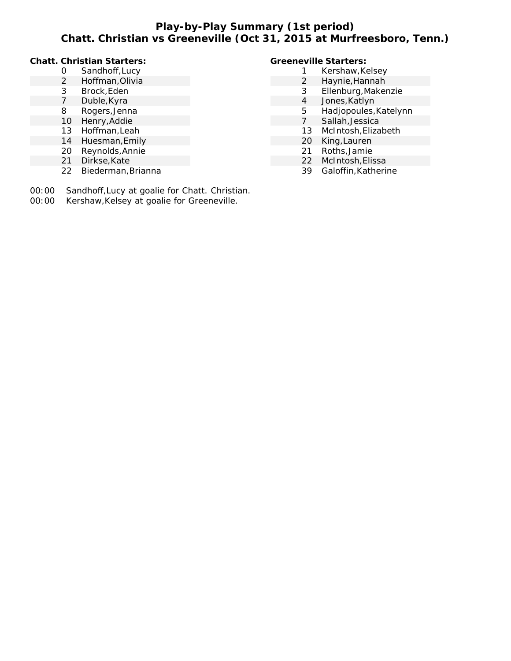# **Play-by-Play Summary (1st period) Chatt. Christian vs Greeneville (Oct 31, 2015 at Murfreesboro, Tenn.)**

### **Chatt. Christian Starters:**

- Sandhoff,Lucy
- Hoffman,Olivia
- Brock,Eden
- Duble,Kyra
- Rogers,Jenna
- Henry,Addie
- Hoffman,Leah
- Huesman,Emily
- Reynolds,Annie
- Dirkse,Kate
- Biederman,Brianna
- 00:00 Sandhoff,Lucy at goalie for Chatt. Christian.
- 00:00 Kershaw,Kelsey at goalie for Greeneville.

### **Greeneville Starters:**

- 1 Kershaw, Kelsey
- Haynie,Hannah
- Ellenburg,Makenzie
- Jones,Katlyn
- Hadjopoules,Katelynn
- Sallah,Jessica
- McIntosh,Elizabeth
- King,Lauren
- Roths,Jamie
- McIntosh,Elissa
- Galoffin,Katherine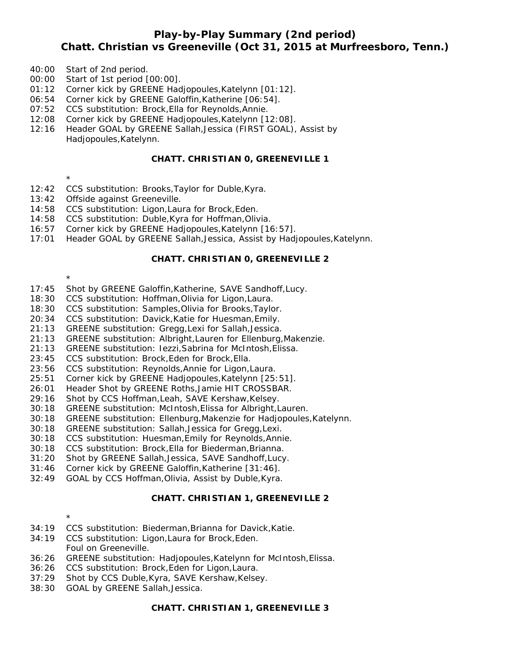### **Play-by-Play Summary (2nd period)**

# **Chatt. Christian vs Greeneville (Oct 31, 2015 at Murfreesboro, Tenn.)**

- 40:00 Start of 2nd period.
- 00:00 Start of 1st period [00:00].
- 01:12 Corner kick by GREENE Hadjopoules,Katelynn [01:12].
- 06:54 Corner kick by GREENE Galoffin,Katherine [06:54].
- 07:52 CCS substitution: Brock,Ella for Reynolds,Annie.
- 12:08 Corner kick by GREENE Hadjopoules,Katelynn [12:08].
- 12:16 Header GOAL by GREENE Sallah,Jessica (FIRST GOAL), Assist by Hadjopoules,Katelynn.

#### **CHATT. CHRISTIAN 0, GREENEVILLE 1**

- \*
- 12:42 CCS substitution: Brooks,Taylor for Duble,Kyra.
- 13:42 Offside against Greeneville.
- 14:58 CCS substitution: Ligon,Laura for Brock,Eden.
- 14:58 CCS substitution: Duble,Kyra for Hoffman,Olivia.
- 16:57 Corner kick by GREENE Hadjopoules,Katelynn [16:57].
- 17:01 Header GOAL by GREENE Sallah,Jessica, Assist by Hadjopoules,Katelynn.

#### **CHATT. CHRISTIAN 0, GREENEVILLE 2**

- \*
- 17:45 Shot by GREENE Galoffin,Katherine, SAVE Sandhoff,Lucy.
- 18:30 CCS substitution: Hoffman,Olivia for Ligon,Laura.
- 18:30 CCS substitution: Samples,Olivia for Brooks,Taylor.
- 20:34 CCS substitution: Davick,Katie for Huesman,Emily.
- 21:13 GREENE substitution: Gregg,Lexi for Sallah,Jessica.
- 21:13 GREENE substitution: Albright,Lauren for Ellenburg,Makenzie.
- 21:13 GREENE substitution: Iezzi,Sabrina for McIntosh,Elissa.
- 23:45 CCS substitution: Brock,Eden for Brock,Ella.
- 23:56 CCS substitution: Reynolds,Annie for Ligon,Laura.
- 25:51 Corner kick by GREENE Hadjopoules,Katelynn [25:51].
- 26:01 Header Shot by GREENE Roths,Jamie HIT CROSSBAR.
- 29:16 Shot by CCS Hoffman,Leah, SAVE Kershaw,Kelsey.
- 30:18 GREENE substitution: McIntosh,Elissa for Albright,Lauren.
- 30:18 GREENE substitution: Ellenburg,Makenzie for Hadjopoules,Katelynn.
- 30:18 GREENE substitution: Sallah,Jessica for Gregg,Lexi.
- 30:18 CCS substitution: Huesman,Emily for Reynolds,Annie.
- 30:18 CCS substitution: Brock,Ella for Biederman,Brianna.
- 31:20 Shot by GREENE Sallah,Jessica, SAVE Sandhoff,Lucy.
- 31:46 Corner kick by GREENE Galoffin,Katherine [31:46].
- 32:49 GOAL by CCS Hoffman,Olivia, Assist by Duble,Kyra.

#### **CHATT. CHRISTIAN 1, GREENEVILLE 2**

- \* 34:19 CCS substitution: Biederman,Brianna for Davick,Katie.
- 34:19 CCS substitution: Ligon,Laura for Brock,Eden. Foul on Greeneville.
- 36:26 GREENE substitution: Hadjopoules,Katelynn for McIntosh,Elissa.
- 36:26 CCS substitution: Brock,Eden for Ligon,Laura.
- 37:29 Shot by CCS Duble, Kyra, SAVE Kershaw, Kelsey.
- 38:30 GOAL by GREENE Sallah,Jessica.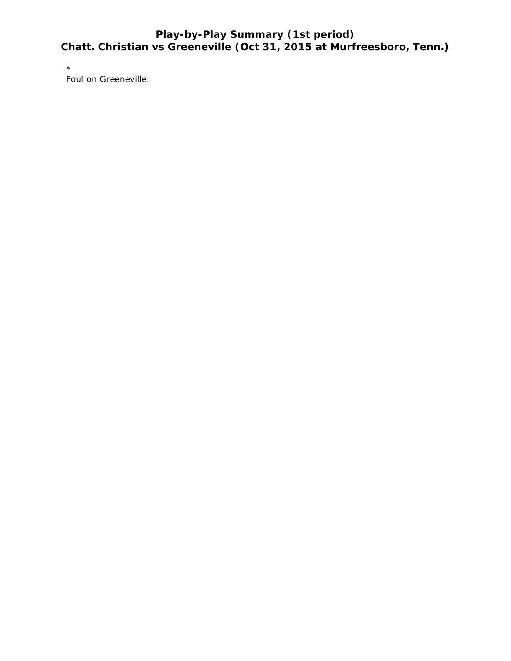# **Play-by-Play Summary (1st period) Chatt. Christian vs Greeneville (Oct 31, 2015 at Murfreesboro, Tenn.)**

\*

Foul on Greeneville.